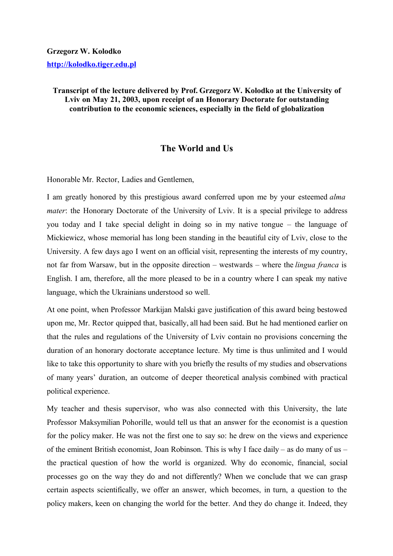## **Grzegorz W. Kolodko http://kolodko.tiger.edu.pl**

**Transcript of the lecture delivered by Prof. Grzegorz W. Kolodko at the University of Lviv on May 21, 2003, upon receipt of an Honorary Doctorate for outstanding contribution to the economic sciences, especially in the field of globalization**

## **The World and Us**

Honorable Mr. Rector, Ladies and Gentlemen,

I am greatly honored by this prestigious award conferred upon me by your esteemed *alma mater*: the Honorary Doctorate of the University of Lviv. It is a special privilege to address you today and I take special delight in doing so in my native tongue – the language of Mickiewicz, whose memorial has long been standing in the beautiful city of Lviv, close to the University. A few days ago I went on an official visit, representing the interests of my country, not far from Warsaw, but in the opposite direction – westwards – where the *lingua franca* is English. I am, therefore, all the more pleased to be in a country where I can speak my native language, which the Ukrainians understood so well.

At one point, when Professor Markijan Malski gave justification of this award being bestowed upon me, Mr. Rector quipped that, basically, all had been said. But he had mentioned earlier on that the rules and regulations of the University of Lviv contain no provisions concerning the duration of an honorary doctorate acceptance lecture. My time is thus unlimited and I would like to take this opportunity to share with you briefly the results of my studies and observations of many years' duration, an outcome of deeper theoretical analysis combined with practical political experience.

My teacher and thesis supervisor, who was also connected with this University, the late Professor Maksymilian Pohorille, would tell us that an answer for the economist is a question for the policy maker. He was not the first one to say so: he drew on the views and experience of the eminent British economist, Joan Robinson. This is why I face daily – as do many of us – the practical question of how the world is organized. Why do economic, financial, social processes go on the way they do and not differently? When we conclude that we can grasp certain aspects scientifically, we offer an answer, which becomes, in turn, a question to the policy makers, keen on changing the world for the better. And they do change it. Indeed, they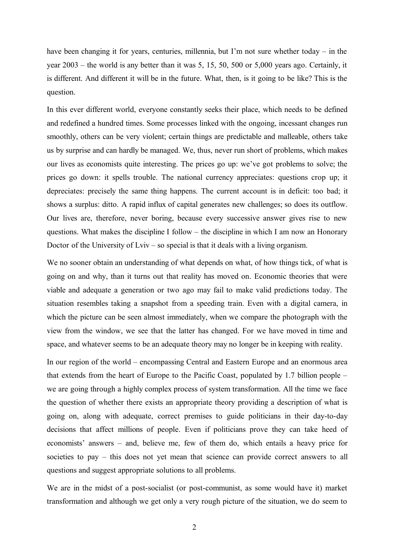have been changing it for years, centuries, millennia, but I'm not sure whether today – in the year 2003 – the world is any better than it was 5, 15, 50, 500 or 5,000 years ago. Certainly, it is different. And different it will be in the future. What, then, is it going to be like? This is the question.

In this ever different world, everyone constantly seeks their place, which needs to be defined and redefined a hundred times. Some processes linked with the ongoing, incessant changes run smoothly, others can be very violent; certain things are predictable and malleable, others take us by surprise and can hardly be managed. We, thus, never run short of problems, which makes our lives as economists quite interesting. The prices go up: we've got problems to solve; the prices go down: it spells trouble. The national currency appreciates: questions crop up; it depreciates: precisely the same thing happens. The current account is in deficit: too bad; it shows a surplus: ditto. A rapid influx of capital generates new challenges; so does its outflow. Our lives are, therefore, never boring, because every successive answer gives rise to new questions. What makes the discipline I follow – the discipline in which I am now an Honorary Doctor of the University of Lviv – so special is that it deals with a living organism.

We no sooner obtain an understanding of what depends on what, of how things tick, of what is going on and why, than it turns out that reality has moved on. Economic theories that were viable and adequate a generation or two ago may fail to make valid predictions today. The situation resembles taking a snapshot from a speeding train. Even with a digital camera, in which the picture can be seen almost immediately, when we compare the photograph with the view from the window, we see that the latter has changed. For we have moved in time and space, and whatever seems to be an adequate theory may no longer be in keeping with reality.

In our region of the world – encompassing Central and Eastern Europe and an enormous area that extends from the heart of Europe to the Pacific Coast, populated by 1.7 billion people – we are going through a highly complex process of system transformation. All the time we face the question of whether there exists an appropriate theory providing a description of what is going on, along with adequate, correct premises to guide politicians in their day-to-day decisions that affect millions of people. Even if politicians prove they can take heed of economists' answers – and, believe me, few of them do, which entails a heavy price for societies to pay – this does not yet mean that science can provide correct answers to all questions and suggest appropriate solutions to all problems.

We are in the midst of a post-socialist (or post-communist, as some would have it) market transformation and although we get only a very rough picture of the situation, we do seem to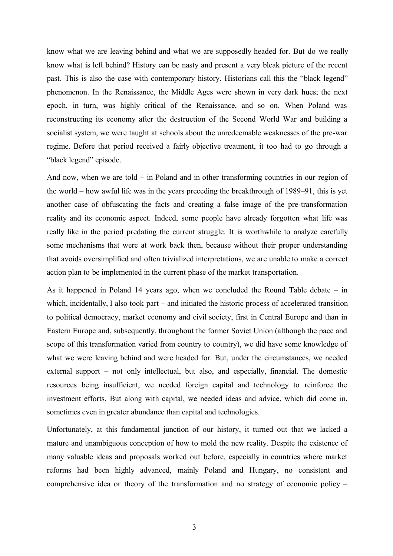know what we are leaving behind and what we are supposedly headed for. But do we really know what is left behind? History can be nasty and present a very bleak picture of the recent past. This is also the case with contemporary history. Historians call this the "black legend" phenomenon. In the Renaissance, the Middle Ages were shown in very dark hues; the next epoch, in turn, was highly critical of the Renaissance, and so on. When Poland was reconstructing its economy after the destruction of the Second World War and building a socialist system, we were taught at schools about the unredeemable weaknesses of the pre-war regime. Before that period received a fairly objective treatment, it too had to go through a "black legend" episode.

And now, when we are told – in Poland and in other transforming countries in our region of the world – how awful life was in the years preceding the breakthrough of 1989–91, this is yet another case of obfuscating the facts and creating a false image of the pre-transformation reality and its economic aspect. Indeed, some people have already forgotten what life was really like in the period predating the current struggle. It is worthwhile to analyze carefully some mechanisms that were at work back then, because without their proper understanding that avoids oversimplified and often trivialized interpretations, we are unable to make a correct action plan to be implemented in the current phase of the market transportation.

As it happened in Poland 14 years ago, when we concluded the Round Table debate – in which, incidentally, I also took part – and initiated the historic process of accelerated transition to political democracy, market economy and civil society, first in Central Europe and than in Eastern Europe and, subsequently, throughout the former Soviet Union (although the pace and scope of this transformation varied from country to country), we did have some knowledge of what we were leaving behind and were headed for. But, under the circumstances, we needed external support – not only intellectual, but also, and especially, financial. The domestic resources being insufficient, we needed foreign capital and technology to reinforce the investment efforts. But along with capital, we needed ideas and advice, which did come in, sometimes even in greater abundance than capital and technologies.

Unfortunately, at this fundamental junction of our history, it turned out that we lacked a mature and unambiguous conception of how to mold the new reality. Despite the existence of many valuable ideas and proposals worked out before, especially in countries where market reforms had been highly advanced, mainly Poland and Hungary, no consistent and comprehensive idea or theory of the transformation and no strategy of economic policy –

3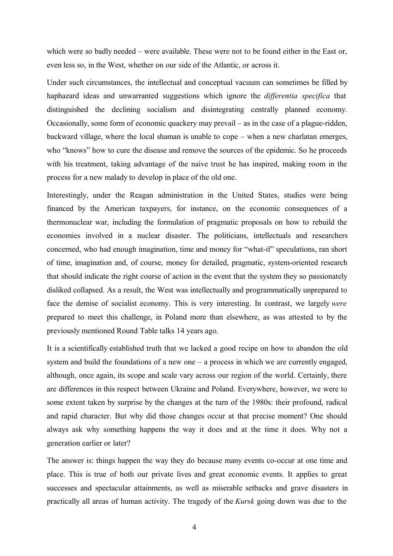which were so badly needed – were available. These were not to be found either in the East or, even less so, in the West, whether on our side of the Atlantic, or across it.

Under such circumstances, the intellectual and conceptual vacuum can sometimes be filled by haphazard ideas and unwarranted suggestions which ignore the *differentia specifica* that distinguished the declining socialism and disintegrating centrally planned economy. Occasionally, some form of economic quackery may prevail – as in the case of a plague-ridden, backward village, where the local shaman is unable to cope – when a new charlatan emerges, who "knows" how to cure the disease and remove the sources of the epidemic. So he proceeds with his treatment, taking advantage of the naive trust he has inspired, making room in the process for a new malady to develop in place of the old one.

Interestingly, under the Reagan administration in the United States, studies were being financed by the American taxpayers, for instance, on the economic consequences of a thermonuclear war, including the formulation of pragmatic proposals on how to rebuild the economies involved in a nuclear disaster. The politicians, intellectuals and researchers concerned, who had enough imagination, time and money for "what-if" speculations, ran short of time, imagination and, of course, money for detailed, pragmatic, system-oriented research that should indicate the right course of action in the event that the system they so passionately disliked collapsed. As a result, the West was intellectually and programmatically unprepared to face the demise of socialist economy. This is very interesting. In contrast, we largely *were* prepared to meet this challenge, in Poland more than elsewhere, as was attested to by the previously mentioned Round Table talks 14 years ago.

It is a scientifically established truth that we lacked a good recipe on how to abandon the old system and build the foundations of a new one – a process in which we are currently engaged, although, once again, its scope and scale vary across our region of the world. Certainly, there are differences in this respect between Ukraine and Poland. Everywhere, however, we were to some extent taken by surprise by the changes at the turn of the 1980s: their profound, radical and rapid character. But why did those changes occur at that precise moment? One should always ask why something happens the way it does and at the time it does. Why not a generation earlier or later?

The answer is: things happen the way they do because many events co-occur at one time and place. This is true of both our private lives and great economic events. It applies to great successes and spectacular attainments, as well as miserable setbacks and grave disasters in practically all areas of human activity. The tragedy of the *Kursk* going down was due to the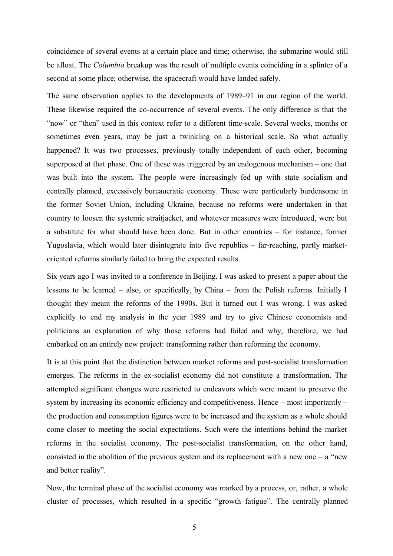coincidence of several events at a certain place and time; otherwise, the submarine would still be afloat. The *Columbia* breakup was the result of multiple events coinciding in a splinter of a second at some place; otherwise, the spacecraft would have landed safely.

The same observation applies to the developments of 1989–91 in our region of the world. These likewise required the co-occurrence of several events. The only difference is that the "now" or "then" used in this context refer to a different time-scale. Several weeks, months or sometimes even years, may be just a twinkling on a historical scale. So what actually happened? It was two processes, previously totally independent of each other, becoming superposed at that phase. One of these was triggered by an endogenous mechanism – one that was built into the system. The people were increasingly fed up with state socialism and centrally planned, excessively bureaucratic economy. These were particularly burdensome in the former Soviet Union, including Ukraine, because no reforms were undertaken in that country to loosen the systemic straitjacket, and whatever measures were introduced, were but a substitute for what should have been done. But in other countries – for instance, former Yugoslavia, which would later disintegrate into five republics – far-reaching, partly marketoriented reforms similarly failed to bring the expected results.

Six years ago I was invited to a conference in Beijing. I was asked to present a paper about the lessons to be learned – also, or specifically, by China – from the Polish reforms. Initially I thought they meant the reforms of the 1990s. But it turned out I was wrong. I was asked explicitly to end my analysis in the year 1989 and try to give Chinese economists and politicians an explanation of why those reforms had failed and why, therefore, we had embarked on an entirely new project: transforming rather than reforming the economy.

It is at this point that the distinction between market reforms and post-socialist transformation emerges. The reforms in the ex-socialist economy did not constitute a transformation. The attempted significant changes were restricted to endeavors which were meant to preserve the system by increasing its economic efficiency and competitiveness. Hence – most importantly – the production and consumption figures were to be increased and the system as a whole should come closer to meeting the social expectations. Such were the intentions behind the market reforms in the socialist economy. The post-socialist transformation, on the other hand, consisted in the abolition of the previous system and its replacement with a new one  $-$  a "new and better reality".

Now, the terminal phase of the socialist economy was marked by a process, or, rather, a whole cluster of processes, which resulted in a specific "growth fatigue". The centrally planned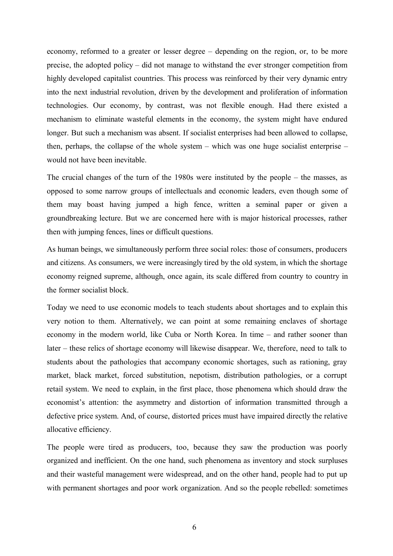economy, reformed to a greater or lesser degree – depending on the region, or, to be more precise, the adopted policy – did not manage to withstand the ever stronger competition from highly developed capitalist countries. This process was reinforced by their very dynamic entry into the next industrial revolution, driven by the development and proliferation of information technologies. Our economy, by contrast, was not flexible enough. Had there existed a mechanism to eliminate wasteful elements in the economy, the system might have endured longer. But such a mechanism was absent. If socialist enterprises had been allowed to collapse, then, perhaps, the collapse of the whole system – which was one huge socialist enterprise – would not have been inevitable.

The crucial changes of the turn of the 1980s were instituted by the people – the masses, as opposed to some narrow groups of intellectuals and economic leaders, even though some of them may boast having jumped a high fence, written a seminal paper or given a groundbreaking lecture. But we are concerned here with is major historical processes, rather then with jumping fences, lines or difficult questions.

As human beings, we simultaneously perform three social roles: those of consumers, producers and citizens. As consumers, we were increasingly tired by the old system, in which the shortage economy reigned supreme, although, once again, its scale differed from country to country in the former socialist block.

Today we need to use economic models to teach students about shortages and to explain this very notion to them. Alternatively, we can point at some remaining enclaves of shortage economy in the modern world, like Cuba or North Korea. In time – and rather sooner than later – these relics of shortage economy will likewise disappear. We, therefore, need to talk to students about the pathologies that accompany economic shortages, such as rationing, gray market, black market, forced substitution, nepotism, distribution pathologies, or a corrupt retail system. We need to explain, in the first place, those phenomena which should draw the economist's attention: the asymmetry and distortion of information transmitted through a defective price system. And, of course, distorted prices must have impaired directly the relative allocative efficiency.

The people were tired as producers, too, because they saw the production was poorly organized and inefficient. On the one hand, such phenomena as inventory and stock surpluses and their wasteful management were widespread, and on the other hand, people had to put up with permanent shortages and poor work organization. And so the people rebelled: sometimes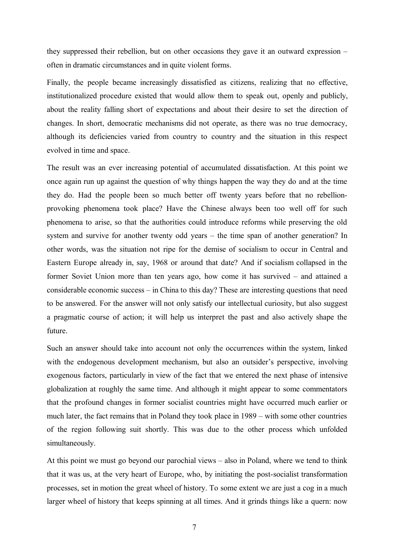they suppressed their rebellion, but on other occasions they gave it an outward expression – often in dramatic circumstances and in quite violent forms.

Finally, the people became increasingly dissatisfied as citizens, realizing that no effective, institutionalized procedure existed that would allow them to speak out, openly and publicly, about the reality falling short of expectations and about their desire to set the direction of changes. In short, democratic mechanisms did not operate, as there was no true democracy, although its deficiencies varied from country to country and the situation in this respect evolved in time and space.

The result was an ever increasing potential of accumulated dissatisfaction. At this point we once again run up against the question of why things happen the way they do and at the time they do. Had the people been so much better off twenty years before that no rebellionprovoking phenomena took place? Have the Chinese always been too well off for such phenomena to arise, so that the authorities could introduce reforms while preserving the old system and survive for another twenty odd years – the time span of another generation? In other words, was the situation not ripe for the demise of socialism to occur in Central and Eastern Europe already in, say, 1968 or around that date? And if socialism collapsed in the former Soviet Union more than ten years ago, how come it has survived – and attained a considerable economic success – in China to this day? These are interesting questions that need to be answered. For the answer will not only satisfy our intellectual curiosity, but also suggest a pragmatic course of action; it will help us interpret the past and also actively shape the future.

Such an answer should take into account not only the occurrences within the system, linked with the endogenous development mechanism, but also an outsider's perspective, involving exogenous factors, particularly in view of the fact that we entered the next phase of intensive globalization at roughly the same time. And although it might appear to some commentators that the profound changes in former socialist countries might have occurred much earlier or much later, the fact remains that in Poland they took place in 1989 – with some other countries of the region following suit shortly. This was due to the other process which unfolded simultaneously.

At this point we must go beyond our parochial views – also in Poland, where we tend to think that it was us, at the very heart of Europe, who, by initiating the post-socialist transformation processes, set in motion the great wheel of history. To some extent we are just a cog in a much larger wheel of history that keeps spinning at all times. And it grinds things like a quern: now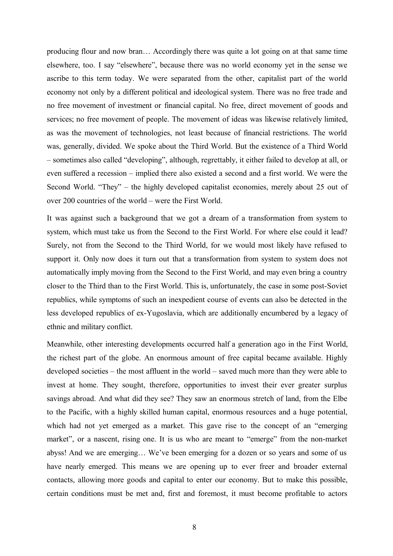producing flour and now bran… Accordingly there was quite a lot going on at that same time elsewhere, too. I say "elsewhere", because there was no world economy yet in the sense we ascribe to this term today. We were separated from the other, capitalist part of the world economy not only by a different political and ideological system. There was no free trade and no free movement of investment or financial capital. No free, direct movement of goods and services; no free movement of people. The movement of ideas was likewise relatively limited, as was the movement of technologies, not least because of financial restrictions. The world was, generally, divided. We spoke about the Third World. But the existence of a Third World – sometimes also called "developing", although, regrettably, it either failed to develop at all, or even suffered a recession – implied there also existed a second and a first world. We were the Second World. "They" – the highly developed capitalist economies, merely about 25 out of over 200 countries of the world – were the First World.

It was against such a background that we got a dream of a transformation from system to system, which must take us from the Second to the First World. For where else could it lead? Surely, not from the Second to the Third World, for we would most likely have refused to support it. Only now does it turn out that a transformation from system to system does not automatically imply moving from the Second to the First World, and may even bring a country closer to the Third than to the First World. This is, unfortunately, the case in some post-Soviet republics, while symptoms of such an inexpedient course of events can also be detected in the less developed republics of ex-Yugoslavia, which are additionally encumbered by a legacy of ethnic and military conflict.

Meanwhile, other interesting developments occurred half a generation ago in the First World, the richest part of the globe. An enormous amount of free capital became available. Highly developed societies – the most affluent in the world – saved much more than they were able to invest at home. They sought, therefore, opportunities to invest their ever greater surplus savings abroad. And what did they see? They saw an enormous stretch of land, from the Elbe to the Pacific, with a highly skilled human capital, enormous resources and a huge potential, which had not yet emerged as a market. This gave rise to the concept of an "emerging market", or a nascent, rising one. It is us who are meant to "emerge" from the non-market abyss! And we are emerging… We've been emerging for a dozen or so years and some of us have nearly emerged. This means we are opening up to ever freer and broader external contacts, allowing more goods and capital to enter our economy. But to make this possible, certain conditions must be met and, first and foremost, it must become profitable to actors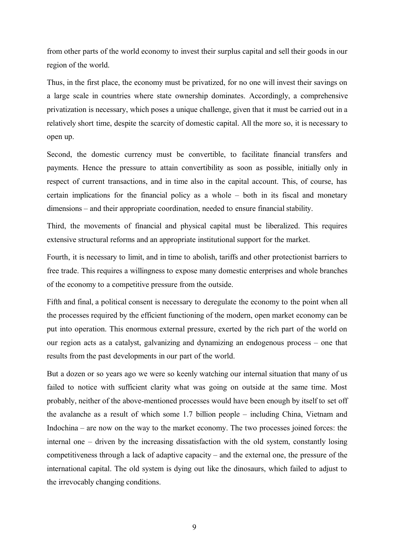from other parts of the world economy to invest their surplus capital and sell their goods in our region of the world.

Thus, in the first place, the economy must be privatized, for no one will invest their savings on a large scale in countries where state ownership dominates. Accordingly, a comprehensive privatization is necessary, which poses a unique challenge, given that it must be carried out in a relatively short time, despite the scarcity of domestic capital. All the more so, it is necessary to open up.

Second, the domestic currency must be convertible, to facilitate financial transfers and payments. Hence the pressure to attain convertibility as soon as possible, initially only in respect of current transactions, and in time also in the capital account. This, of course, has certain implications for the financial policy as a whole – both in its fiscal and monetary dimensions – and their appropriate coordination, needed to ensure financial stability.

Third, the movements of financial and physical capital must be liberalized. This requires extensive structural reforms and an appropriate institutional support for the market.

Fourth, it is necessary to limit, and in time to abolish, tariffs and other protectionist barriers to free trade. This requires a willingness to expose many domestic enterprises and whole branches of the economy to a competitive pressure from the outside.

Fifth and final, a political consent is necessary to deregulate the economy to the point when all the processes required by the efficient functioning of the modern, open market economy can be put into operation. This enormous external pressure, exerted by the rich part of the world on our region acts as a catalyst, galvanizing and dynamizing an endogenous process – one that results from the past developments in our part of the world.

But a dozen or so years ago we were so keenly watching our internal situation that many of us failed to notice with sufficient clarity what was going on outside at the same time. Most probably, neither of the above-mentioned processes would have been enough by itself to set off the avalanche as a result of which some 1.7 billion people – including China, Vietnam and Indochina – are now on the way to the market economy. The two processes joined forces: the internal one – driven by the increasing dissatisfaction with the old system, constantly losing competitiveness through a lack of adaptive capacity – and the external one, the pressure of the international capital. The old system is dying out like the dinosaurs, which failed to adjust to the irrevocably changing conditions.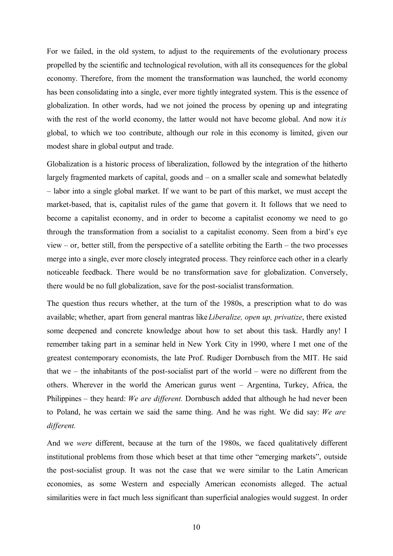For we failed, in the old system, to adjust to the requirements of the evolutionary process propelled by the scientific and technological revolution, with all its consequences for the global economy. Therefore, from the moment the transformation was launched, the world economy has been consolidating into a single, ever more tightly integrated system. This is the essence of globalization. In other words, had we not joined the process by opening up and integrating with the rest of the world economy, the latter would not have become global. And now it *is* global, to which we too contribute, although our role in this economy is limited, given our modest share in global output and trade.

Globalization is a historic process of liberalization, followed by the integration of the hitherto largely fragmented markets of capital, goods and – on a smaller scale and somewhat belatedly – labor into a single global market. If we want to be part of this market, we must accept the market-based, that is, capitalist rules of the game that govern it. It follows that we need to become a capitalist economy, and in order to become a capitalist economy we need to go through the transformation from a socialist to a capitalist economy. Seen from a bird's eye view – or, better still, from the perspective of a satellite orbiting the Earth – the two processes merge into a single, ever more closely integrated process. They reinforce each other in a clearly noticeable feedback. There would be no transformation save for globalization. Conversely, there would be no full globalization, save for the post-socialist transformation.

The question thus recurs whether, at the turn of the 1980s, a prescription what to do was available; whether, apart from general mantras like*Liberalize, open up, privatize*, there existed some deepened and concrete knowledge about how to set about this task. Hardly any! I remember taking part in a seminar held in New York City in 1990, where I met one of the greatest contemporary economists, the late Prof. Rudiger Dornbusch from the MIT. He said that we – the inhabitants of the post-socialist part of the world – were no different from the others. Wherever in the world the American gurus went – Argentina, Turkey, Africa, the Philippines – they heard: *We are different.* Dornbusch added that although he had never been to Poland, he was certain we said the same thing. And he was right. We did say: *We are different.*

And we *were* different, because at the turn of the 1980s, we faced qualitatively different institutional problems from those which beset at that time other "emerging markets", outside the post-socialist group. It was not the case that we were similar to the Latin American economies, as some Western and especially American economists alleged. The actual similarities were in fact much less significant than superficial analogies would suggest. In order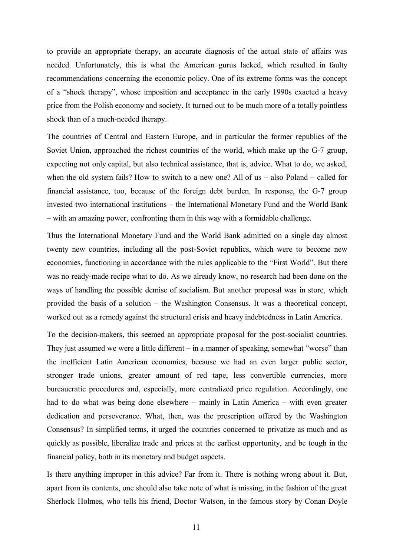to provide an appropriate therapy, an accurate diagnosis of the actual state of affairs was needed. Unfortunately, this is what the American gurus lacked, which resulted in faulty recommendations concerning the economic policy. One of its extreme forms was the concept of a "shock therapy", whose imposition and acceptance in the early 1990s exacted a heavy price from the Polish economy and society. It turned out to be much more of a totally pointless shock than of a much-needed therapy.

The countries of Central and Eastern Europe, and in particular the former republics of the Soviet Union, approached the richest countries of the world, which make up the G-7 group, expecting not only capital, but also technical assistance, that is, advice. What to do, we asked, when the old system fails? How to switch to a new one? All of us – also Poland – called for financial assistance, too, because of the foreign debt burden. In response, the G-7 group invested two international institutions – the International Monetary Fund and the World Bank – with an amazing power, confronting them in this way with a formidable challenge.

Thus the International Monetary Fund and the World Bank admitted on a single day almost twenty new countries, including all the post-Soviet republics, which were to become new economies, functioning in accordance with the rules applicable to the "First World". But there was no ready-made recipe what to do. As we already know, no research had been done on the ways of handling the possible demise of socialism. But another proposal was in store, which provided the basis of a solution – the Washington Consensus. It was a theoretical concept, worked out as a remedy against the structural crisis and heavy indebtedness in Latin America.

To the decision-makers, this seemed an appropriate proposal for the post-socialist countries. They just assumed we were a little different – in a manner of speaking, somewhat "worse" than the inefficient Latin American economies, because we had an even larger public sector, stronger trade unions, greater amount of red tape, less convertible currencies, more bureaucratic procedures and, especially, more centralized price regulation. Accordingly, one had to do what was being done elsewhere – mainly in Latin America – with even greater dedication and perseverance. What, then, was the prescription offered by the Washington Consensus? In simplified terms, it urged the countries concerned to privatize as much and as quickly as possible, liberalize trade and prices at the earliest opportunity, and be tough in the financial policy, both in its monetary and budget aspects.

Is there anything improper in this advice? Far from it. There is nothing wrong about it. But, apart from its contents, one should also take note of what is missing, in the fashion of the great Sherlock Holmes, who tells his friend, Doctor Watson, in the famous story by Conan Doyle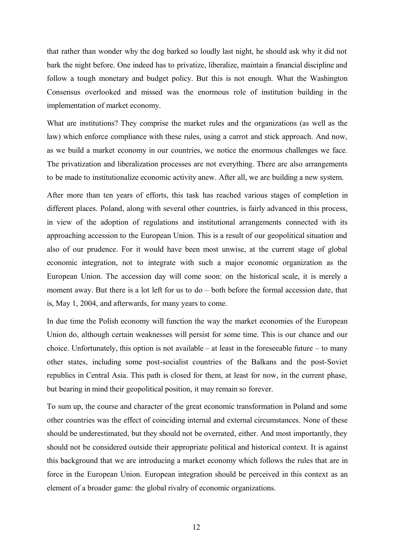that rather than wonder why the dog barked so loudly last night, he should ask why it did not bark the night before. One indeed has to privatize, liberalize, maintain a financial discipline and follow a tough monetary and budget policy. But this is not enough. What the Washington Consensus overlooked and missed was the enormous role of institution building in the implementation of market economy.

What are institutions? They comprise the market rules and the organizations (as well as the law) which enforce compliance with these rules, using a carrot and stick approach. And now, as we build a market economy in our countries, we notice the enormous challenges we face. The privatization and liberalization processes are not everything. There are also arrangements to be made to institutionalize economic activity anew. After all, we are building a new system.

After more than ten years of efforts, this task has reached various stages of completion in different places. Poland, along with several other countries, is fairly advanced in this process, in view of the adoption of regulations and institutional arrangements connected with its approaching accession to the European Union. This is a result of our geopolitical situation and also of our prudence. For it would have been most unwise, at the current stage of global economic integration, not to integrate with such a major economic organization as the European Union. The accession day will come soon: on the historical scale, it is merely a moment away. But there is a lot left for us to do – both before the formal accession date, that is, May 1, 2004, and afterwards, for many years to come.

In due time the Polish economy will function the way the market economies of the European Union do, although certain weaknesses will persist for some time. This is our chance and our choice. Unfortunately, this option is not available – at least in the foreseeable future – to many other states, including some post-socialist countries of the Balkans and the post-Soviet republics in Central Asia. This path is closed for them, at least for now, in the current phase, but bearing in mind their geopolitical position, it may remain so forever.

To sum up, the course and character of the great economic transformation in Poland and some other countries was the effect of coinciding internal and external circumstances. None of these should be underestimated, but they should not be overrated, either. And most importantly, they should not be considered outside their appropriate political and historical context. It is against this background that we are introducing a market economy which follows the rules that are in force in the European Union. European integration should be perceived in this context as an element of a broader game: the global rivalry of economic organizations.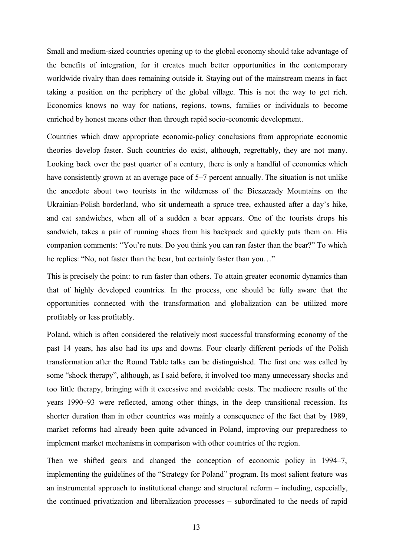Small and medium-sized countries opening up to the global economy should take advantage of the benefits of integration, for it creates much better opportunities in the contemporary worldwide rivalry than does remaining outside it. Staying out of the mainstream means in fact taking a position on the periphery of the global village. This is not the way to get rich. Economics knows no way for nations, regions, towns, families or individuals to become enriched by honest means other than through rapid socio-economic development.

Countries which draw appropriate economic-policy conclusions from appropriate economic theories develop faster. Such countries do exist, although, regrettably, they are not many. Looking back over the past quarter of a century, there is only a handful of economies which have consistently grown at an average pace of 5–7 percent annually. The situation is not unlike the anecdote about two tourists in the wilderness of the Bieszczady Mountains on the Ukrainian-Polish borderland, who sit underneath a spruce tree, exhausted after a day's hike, and eat sandwiches, when all of a sudden a bear appears. One of the tourists drops his sandwich, takes a pair of running shoes from his backpack and quickly puts them on. His companion comments: "You're nuts. Do you think you can ran faster than the bear?" To which he replies: "No, not faster than the bear, but certainly faster than you…"

This is precisely the point: to run faster than others. To attain greater economic dynamics than that of highly developed countries. In the process, one should be fully aware that the opportunities connected with the transformation and globalization can be utilized more profitably or less profitably.

Poland, which is often considered the relatively most successful transforming economy of the past 14 years, has also had its ups and downs. Four clearly different periods of the Polish transformation after the Round Table talks can be distinguished. The first one was called by some "shock therapy", although, as I said before, it involved too many unnecessary shocks and too little therapy, bringing with it excessive and avoidable costs. The mediocre results of the years 1990–93 were reflected, among other things, in the deep transitional recession. Its shorter duration than in other countries was mainly a consequence of the fact that by 1989, market reforms had already been quite advanced in Poland, improving our preparedness to implement market mechanisms in comparison with other countries of the region.

Then we shifted gears and changed the conception of economic policy in 1994–7, implementing the guidelines of the "Strategy for Poland" program. Its most salient feature was an instrumental approach to institutional change and structural reform – including, especially, the continued privatization and liberalization processes – subordinated to the needs of rapid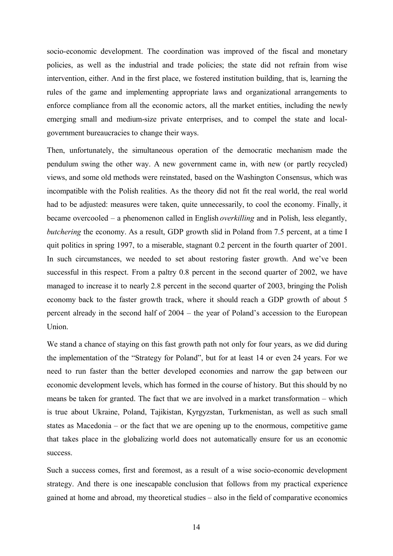socio-economic development. The coordination was improved of the fiscal and monetary policies, as well as the industrial and trade policies; the state did not refrain from wise intervention, either. And in the first place, we fostered institution building, that is, learning the rules of the game and implementing appropriate laws and organizational arrangements to enforce compliance from all the economic actors, all the market entities, including the newly emerging small and medium-size private enterprises, and to compel the state and localgovernment bureaucracies to change their ways.

Then, unfortunately, the simultaneous operation of the democratic mechanism made the pendulum swing the other way. A new government came in, with new (or partly recycled) views, and some old methods were reinstated, based on the Washington Consensus, which was incompatible with the Polish realities. As the theory did not fit the real world, the real world had to be adjusted: measures were taken, quite unnecessarily, to cool the economy. Finally, it became overcooled – a phenomenon called in English *overkilling* and in Polish, less elegantly, *butchering* the economy. As a result, GDP growth slid in Poland from 7.5 percent, at a time I quit politics in spring 1997, to a miserable, stagnant 0.2 percent in the fourth quarter of 2001. In such circumstances, we needed to set about restoring faster growth. And we've been successful in this respect. From a paltry 0.8 percent in the second quarter of 2002, we have managed to increase it to nearly 2.8 percent in the second quarter of 2003, bringing the Polish economy back to the faster growth track, where it should reach a GDP growth of about 5 percent already in the second half of 2004 – the year of Poland's accession to the European Union.

We stand a chance of staying on this fast growth path not only for four years, as we did during the implementation of the "Strategy for Poland", but for at least 14 or even 24 years. For we need to run faster than the better developed economies and narrow the gap between our economic development levels, which has formed in the course of history. But this should by no means be taken for granted. The fact that we are involved in a market transformation – which is true about Ukraine, Poland, Tajikistan, Kyrgyzstan, Turkmenistan, as well as such small states as Macedonia – or the fact that we are opening up to the enormous, competitive game that takes place in the globalizing world does not automatically ensure for us an economic success.

Such a success comes, first and foremost, as a result of a wise socio-economic development strategy. And there is one inescapable conclusion that follows from my practical experience gained at home and abroad, my theoretical studies – also in the field of comparative economics